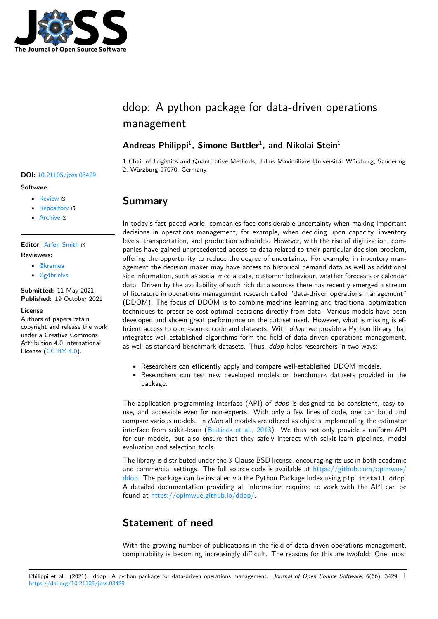

# ddop: A python package for data-driven operations management

## **Andreas Philippi**<sup>1</sup> **, Simone Buttler**<sup>1</sup> **, and Nikolai Stein**<sup>1</sup>

**1** Chair of Logistics and Quantitative Methods, Julius-Maximilians-Universität Würzburg, Sandering 2, Würzburg 97070, Germany

## **Summary**

In today's fast-paced world, companies face considerable uncertainty when making important decisions in operations management, for example, when deciding upon capacity, inventory levels, transportation, and production schedules. However, with the rise of digitization, companies have gained unprecedented access to data related to their particular decision problem, offering the opportunity to reduce the degree of uncertainty. For example, in inventory management the decision maker may have access to historical demand data as well as additional side information, such as social media data, customer behaviour, weather forecasts or calendar data. Driven by the availability of such rich data sources there has recently emerged a stream of literature in operations management research called "data-driven operations management" (DDOM). The focus of DDOM is to combine machine learning and traditional optimization techniques to prescribe cost optimal decisions directly from data. Various models have been developed and shown great performance on the dataset used. However, what is missing is efficient access to open-source code and datasets. With *ddop*, we provide a Python library that integrates well-established algorithms form the field of data-driven operations management, as well as standard benchmark datasets. Thus, *ddop* helps researchers in two ways:

- Researchers can efficiently apply and compare well-established DDOM models.
- Researchers can test new developed models on benchmark datasets provided in the package.

The application programming interface (API) of *ddop* is designed to be consistent, easy-touse, and accessible even for non-experts. With only a few lines of code, one can build and compare various models. In *ddop* all models are offered as objects implementing the estimator interface from scikit-learn (Buitinck et al., 2013). We thus not only provide a uniform API for our models, but also ensure that they safely interact with scikit-learn pipelines, model evaluation and selection tools.

The library is distributed under the 3-Clause BSD license, encouraging its use in both academic and commercial settings. [The full source code is](#page-2-0) available at https://github.com/opimwue/ ddop. The package can be installed via the Python Package Index using pip install ddop. A detailed documentation providing all information required to work with the API can be found at https://opimwue.github.io/ddop/.

# **[Sta](https://github.com/opimwue/ddop)te[ment of need](https://opimwue.github.io/ddop/)**

With the growing number of publications in the field of data-driven operations management, comparability is becoming increasingly difficult. The reasons for this are twofold: One, most

#### Philippi et al., (2021). ddop: A python package for data-driven operations management. *Journal of Open Source Software*, 6(66), 3429. 1https://doi.org/10.21105/joss.03429

### **DOI:** 10.21105/joss.03429

#### **Software**

- Review &
- [Repository](https://doi.org/10.21105/joss.03429) &
- Archive &

#### **Editor:** [Arfon Sm](https://github.com/opimwue/ddop)ith **Revie[wers:](https://doi.org/10.5281/zenodo.5577966)**

- @kramea
- @[g4brielvs](http://arfon.org/)

#### **Submitted:** 11 May 2021 **Publi[shed:](https://github.com/kramea)** 19 October 2021

#### **License**

Autho[rs of paper](https://github.com/g4brielvs)s retain copyright and release the work under a Creative Commons Attribution 4.0 International License (CC BY 4.0).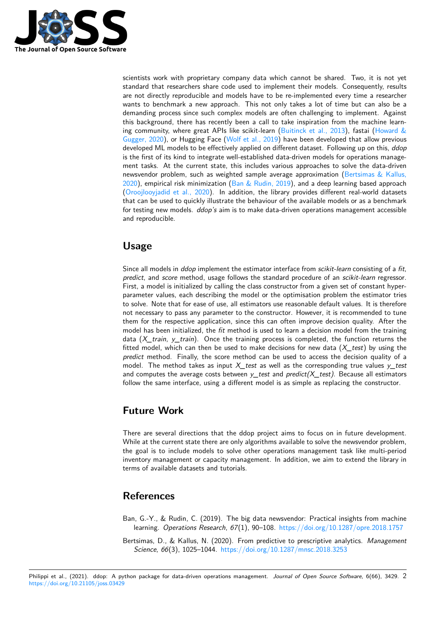

scientists work with proprietary company data which cannot be shared. Two, it is not yet standard that researchers share code used to implement their models. Consequently, results are not directly reproducible and models have to be re-implemented every time a researcher wants to benchmark a new approach. This not only takes a lot of time but can also be a demanding process since such complex models are often challenging to implement. Against this background, there has recently been a call to take inspiration from the machine learning community, where great APIs like scikit-learn (Buitinck et al., 2013), fastai (Howard  $\&$ Gugger, 2020), or Hugging Face (Wolf et al., 2019) have been developed that allow previous developed ML models to be effectively applied on different dataset. Following up on this, *ddop* is the first of its kind to integrate well-established data-driven models for operations management tasks. At the current state, this includes va[rious approaches to so](#page-2-0)lve the [data-driven](#page-2-1) [newsvendor p](#page-2-1)roblem, such as wei[ghted sample ave](#page-2-2)rage approximation (Bertsimas & Kallus, 2020), empirical risk minimization (Ban  $\&$  Rudin, 2019), and a deep learning based approach (Oroojlooyjadid et al., 2020). In addition, the library provides different real-world datasets that can be used to quickly illustrate the behaviour of the available models or as a benchmark for testing new models. *ddop's* aim is to make data-driven operations m[anagement accessible](#page-1-0) [and r](#page-1-0)eproducible.

# **Usage**

Since all models in *ddop* implement the estimator interface from *scikit-learn* consisting of a *fit*, *predict*, and *score* method, usage follows the standard procedure of an *scikit-learn* regressor. First, a model is initialized by calling the class constructor from a given set of constant hyperparameter values, each describing the model or the optimisation problem the estimator tries to solve. Note that for ease of use, all estimators use reasonable default values. It is therefore not necessary to pass any parameter to the constructor. However, it is recommended to tune them for the respective application, since this can often improve decision quality. After the model has been initialized, the *fit* method is used to learn a decision model from the training data (*X\_train*, *y\_train*). Once the training process is completed, the function returns the fitted model, which can then be used to make decisions for new data (*X\_test*) by using the *predict* method. Finally, the score method can be used to access the decision quality of a model. The method takes as input *X\_test* as well as the corresponding true values *y\_test* and computes the average costs between *y\_test* and *predict(X\_test)*. Because all estimators follow the same interface, using a different model is as simple as replacing the constructor.

# **Future Work**

There are several directions that the ddop project aims to focus on in future development. While at the current state there are only algorithms available to solve the newsvendor problem, the goal is to include models to solve other operations management task like multi-period inventory management or capacity management. In addition, we aim to extend the library in terms of available datasets and tutorials.

# **References**

- Ban, G.-Y., & Rudin, C. (2019). The big data newsvendor: Practical insights from machine learning. *Operations Research*, *67*(1), 90–108. https://doi.org/10.1287/opre.2018.1757
- <span id="page-1-0"></span>Bertsimas, D., & Kallus, N. (2020). From predictive to prescriptive analytics. *Management Science*, *66*(3), 1025–1044. https://doi.org/10.1287/mnsc.2018.3253